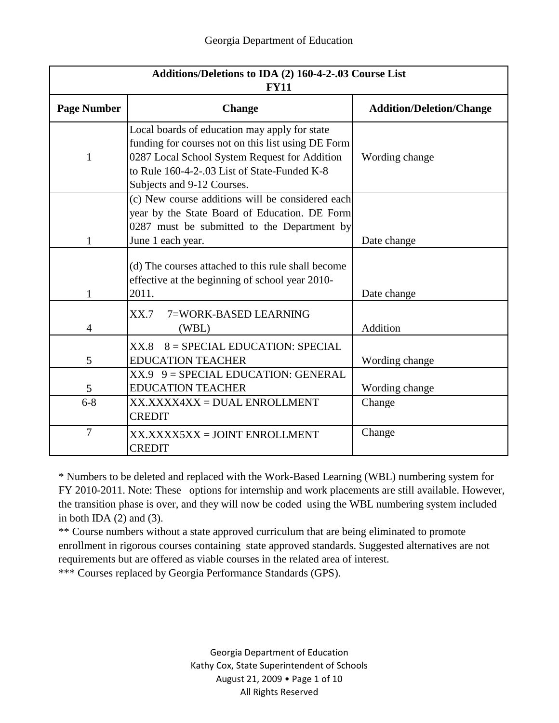| Additions/Deletions to IDA (2) 160-4-2-.03 Course List<br><b>FY11</b> |                                                                                                                                                                                                                                    |                                 |
|-----------------------------------------------------------------------|------------------------------------------------------------------------------------------------------------------------------------------------------------------------------------------------------------------------------------|---------------------------------|
| <b>Page Number</b>                                                    | <b>Change</b>                                                                                                                                                                                                                      | <b>Addition/Deletion/Change</b> |
| $\mathbf{1}$                                                          | Local boards of education may apply for state<br>funding for courses not on this list using DE Form<br>0287 Local School System Request for Addition<br>to Rule 160-4-2-.03 List of State-Funded K-8<br>Subjects and 9-12 Courses. | Wording change                  |
| $\mathbf{1}$                                                          | (c) New course additions will be considered each<br>year by the State Board of Education. DE Form<br>0287 must be submitted to the Department by<br>June 1 each year.                                                              | Date change                     |
| $\mathbf{1}$                                                          | (d) The courses attached to this rule shall become<br>effective at the beginning of school year 2010-<br>2011.                                                                                                                     | Date change                     |
| $\overline{4}$                                                        | XX.7<br>7=WORK-BASED LEARNING<br>(WBL)                                                                                                                                                                                             | Addition                        |
| 5                                                                     | $8 =$ SPECIAL EDUCATION: SPECIAL<br>XX.8<br><b>EDUCATION TEACHER</b>                                                                                                                                                               | Wording change                  |
| 5                                                                     | $XX.9$ 9 = SPECIAL EDUCATION: GENERAL<br><b>EDUCATION TEACHER</b>                                                                                                                                                                  | Wording change                  |
| $6 - 8$                                                               | XX.XXXX4XX = DUAL ENROLLMENT<br><b>CREDIT</b>                                                                                                                                                                                      | Change                          |
| $\overline{7}$                                                        | XX.XXXX5XX = JOINT ENROLLMENT<br><b>CREDIT</b>                                                                                                                                                                                     | Change                          |

\* Numbers to be deleted and replaced with the Work-Based Learning (WBL) numbering system for FY 2010-2011. Note: These options for internship and work placements are still available. However, the transition phase is over, and they will now be coded using the WBL numbering system included in both IDA  $(2)$  and  $(3)$ .

\*\* Course numbers without a state approved curriculum that are being eliminated to promote enrollment in rigorous courses containing state approved standards. Suggested alternatives are not requirements but are offered as viable courses in the related area of interest.

\*\*\* Courses replaced by Georgia Performance Standards (GPS).

Georgia Department of Education Kathy Cox, State Superintendent of Schools August 21, 2009 • Page 1 of 10 All Rights Reserved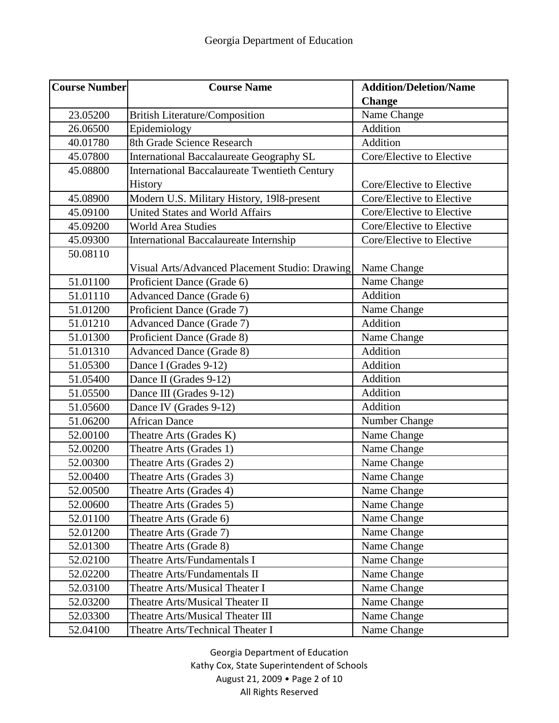| <b>Course Number</b> | <b>Course Name</b>                                   | <b>Addition/Deletion/Name</b> |
|----------------------|------------------------------------------------------|-------------------------------|
|                      |                                                      | <b>Change</b>                 |
| 23.05200             | <b>British Literature/Composition</b>                | Name Change                   |
| 26.06500             | Epidemiology                                         | Addition                      |
| 40.01780             | 8th Grade Science Research                           | Addition                      |
| 45.07800             | International Baccalaureate Geography SL             | Core/Elective to Elective     |
| 45.08800             | <b>International Baccalaureate Twentieth Century</b> |                               |
|                      | <b>History</b>                                       | Core/Elective to Elective     |
| 45.08900             | Modern U.S. Military History, 1918-present           | Core/Elective to Elective     |
| 45.09100             | <b>United States and World Affairs</b>               | Core/Elective to Elective     |
| 45.09200             | <b>World Area Studies</b>                            | Core/Elective to Elective     |
| 45.09300             | <b>International Baccalaureate Internship</b>        | Core/Elective to Elective     |
| 50.08110             |                                                      |                               |
|                      | Visual Arts/Advanced Placement Studio: Drawing       | Name Change                   |
| 51.01100             | Proficient Dance (Grade 6)                           | Name Change                   |
| 51.01110             | Advanced Dance (Grade 6)                             | Addition                      |
| 51.01200             | Proficient Dance (Grade 7)                           | Name Change                   |
| 51.01210             | <b>Advanced Dance (Grade 7)</b>                      | Addition                      |
| 51.01300             | Proficient Dance (Grade 8)                           | Name Change                   |
| 51.01310             | <b>Advanced Dance (Grade 8)</b>                      | Addition                      |
| 51.05300             | Dance I (Grades 9-12)                                | Addition                      |
| 51.05400             | Dance II (Grades 9-12)                               | Addition                      |
| 51.05500             | Dance III (Grades 9-12)                              | Addition                      |
| 51.05600             | Dance IV (Grades 9-12)                               | Addition                      |
| 51.06200             | <b>African Dance</b>                                 | Number Change                 |
| 52.00100             | Theatre Arts (Grades K)                              | Name Change                   |
| 52.00200             | Theatre Arts (Grades 1)                              | Name Change                   |
| 52.00300             | Theatre Arts (Grades 2)                              | Name Change                   |
| 52.00400             | Theatre Arts (Grades 3)                              | Name Change                   |
| 52.00500             | Theatre Arts (Grades 4)                              | Name Change                   |
| 52.00600             | Theatre Arts (Grades 5)                              | Name Change                   |
| 52.01100             | Theatre Arts (Grade 6)                               | Name Change                   |
| 52.01200             | Theatre Arts (Grade 7)                               | Name Change                   |
| 52.01300             | Theatre Arts (Grade 8)                               | Name Change                   |
| 52.02100             | Theatre Arts/Fundamentals I                          | Name Change                   |
| 52.02200             | Theatre Arts/Fundamentals II                         | Name Change                   |
| 52.03100             | Theatre Arts/Musical Theater I                       | Name Change                   |
| 52.03200             | Theatre Arts/Musical Theater II                      | Name Change                   |
| 52.03300             | Theatre Arts/Musical Theater III                     | Name Change                   |
| 52.04100             | Theatre Arts/Technical Theater I                     | Name Change                   |

Georgia Department of Education Kathy Cox, State Superintendent of Schools August 21, 2009 • Page 2 of 10 All Rights Reserved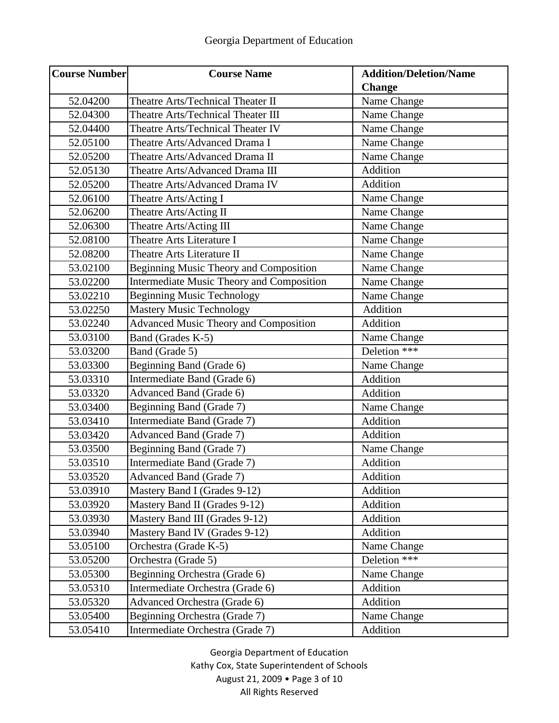| <b>Course Number</b> | <b>Course Name</b>                               | <b>Addition/Deletion/Name</b> |
|----------------------|--------------------------------------------------|-------------------------------|
|                      |                                                  | <b>Change</b>                 |
| 52.04200             | Theatre Arts/Technical Theater II                | Name Change                   |
| 52.04300             | Theatre Arts/Technical Theater III               | Name Change                   |
| 52.04400             | Theatre Arts/Technical Theater IV                | Name Change                   |
| 52.05100             | Theatre Arts/Advanced Drama I                    | Name Change                   |
| 52.05200             | Theatre Arts/Advanced Drama II                   | Name Change                   |
| 52.05130             | Theatre Arts/Advanced Drama III                  | Addition                      |
| 52.05200             | Theatre Arts/Advanced Drama IV                   | Addition                      |
| 52.06100             | Theatre Arts/Acting I                            | Name Change                   |
| 52.06200             | Theatre Arts/Acting II                           | Name Change                   |
| 52.06300             | Theatre Arts/Acting III                          | Name Change                   |
| 52.08100             | Theatre Arts Literature I                        | Name Change                   |
| 52.08200             | Theatre Arts Literature II                       | Name Change                   |
| 53.02100             | <b>Beginning Music Theory and Composition</b>    | Name Change                   |
| 53.02200             | <b>Intermediate Music Theory and Composition</b> | Name Change                   |
| 53.02210             | <b>Beginning Music Technology</b>                | Name Change                   |
| 53.02250             | <b>Mastery Music Technology</b>                  | Addition                      |
| 53.02240             | <b>Advanced Music Theory and Composition</b>     | Addition                      |
| 53.03100             | Band (Grades K-5)                                | Name Change                   |
| 53.03200             | Band (Grade 5)                                   | Deletion ***                  |
| 53.03300             | Beginning Band (Grade 6)                         | Name Change                   |
| 53.03310             | Intermediate Band (Grade 6)                      | Addition                      |
| 53.03320             | Advanced Band (Grade 6)                          | Addition                      |
| 53.03400             | Beginning Band (Grade 7)                         | Name Change                   |
| 53.03410             | Intermediate Band (Grade 7)                      | Addition                      |
| 53.03420             | <b>Advanced Band (Grade 7)</b>                   | Addition                      |
| 53.03500             | Beginning Band (Grade 7)                         | Name Change                   |
| 53.03510             | Intermediate Band (Grade 7)                      | Addition                      |
| 53.03520             | <b>Advanced Band (Grade 7)</b>                   | Addition                      |
| 53.03910             | Mastery Band I (Grades 9-12)                     | Addition                      |
| 53.03920             | Mastery Band II (Grades 9-12)                    | Addition                      |
| 53.03930             | Mastery Band III (Grades 9-12)                   | Addition                      |
| 53.03940             | Mastery Band IV (Grades 9-12)                    | Addition                      |
| 53.05100             | Orchestra (Grade K-5)                            | Name Change                   |
| 53.05200             | Orchestra (Grade 5)                              | Deletion ***                  |
| 53.05300             | Beginning Orchestra (Grade 6)                    | Name Change                   |
| 53.05310             | Intermediate Orchestra (Grade 6)                 | Addition                      |
| 53.05320             | Advanced Orchestra (Grade 6)                     | Addition                      |
| 53.05400             | Beginning Orchestra (Grade 7)                    | Name Change                   |
| 53.05410             | Intermediate Orchestra (Grade 7)                 | Addition                      |

Georgia Department of Education Kathy Cox, State Superintendent of Schools August 21, 2009 • Page 3 of 10 All Rights Reserved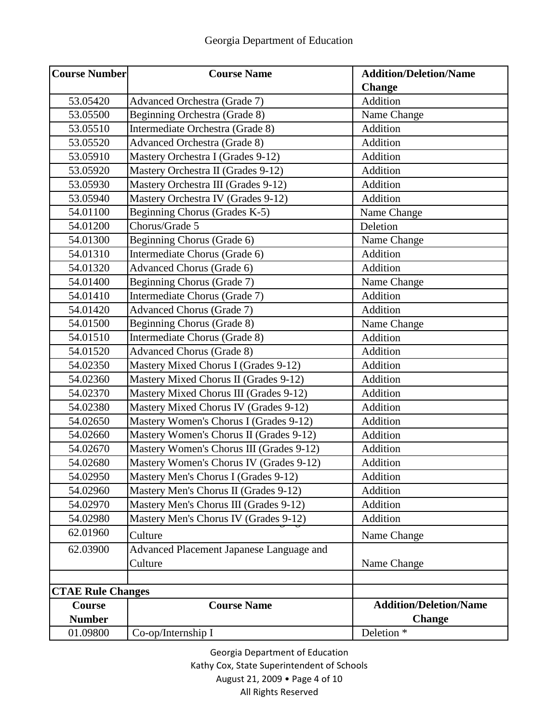| <b>Course Number</b>     | <b>Course Name</b>                       | <b>Addition/Deletion/Name</b> |
|--------------------------|------------------------------------------|-------------------------------|
|                          |                                          | <b>Change</b>                 |
| 53.05420                 | Advanced Orchestra (Grade 7)             | Addition                      |
| 53.05500                 | Beginning Orchestra (Grade 8)            | Name Change                   |
| 53.05510                 | Intermediate Orchestra (Grade 8)         | Addition                      |
| 53.05520                 | <b>Advanced Orchestra (Grade 8)</b>      | Addition                      |
| 53.05910                 | Mastery Orchestra I (Grades 9-12)        | Addition                      |
| 53.05920                 | Mastery Orchestra II (Grades 9-12)       | Addition                      |
| 53.05930                 | Mastery Orchestra III (Grades 9-12)      | Addition                      |
| 53.05940                 | Mastery Orchestra IV (Grades 9-12)       | Addition                      |
| 54.01100                 | Beginning Chorus (Grades K-5)            | Name Change                   |
| 54.01200                 | Chorus/Grade 5                           | Deletion                      |
| 54.01300                 | Beginning Chorus (Grade 6)               | Name Change                   |
| 54.01310                 | Intermediate Chorus (Grade 6)            | Addition                      |
| 54.01320                 | <b>Advanced Chorus (Grade 6)</b>         | Addition                      |
| 54.01400                 | Beginning Chorus (Grade 7)               | Name Change                   |
| 54.01410                 | Intermediate Chorus (Grade 7)            | Addition                      |
| 54.01420                 | <b>Advanced Chorus (Grade 7)</b>         | Addition                      |
| 54.01500                 | Beginning Chorus (Grade 8)               | Name Change                   |
| 54.01510                 | Intermediate Chorus (Grade 8)            | Addition                      |
| 54.01520                 | <b>Advanced Chorus (Grade 8)</b>         | Addition                      |
| 54.02350                 | Mastery Mixed Chorus I (Grades 9-12)     | Addition                      |
| 54.02360                 | Mastery Mixed Chorus II (Grades 9-12)    | Addition                      |
| 54.02370                 | Mastery Mixed Chorus III (Grades 9-12)   | Addition                      |
| 54.02380                 | Mastery Mixed Chorus IV (Grades 9-12)    | Addition                      |
| 54.02650                 | Mastery Women's Chorus I (Grades 9-12)   | Addition                      |
| 54.02660                 | Mastery Women's Chorus II (Grades 9-12)  | Addition                      |
| 54.02670                 | Mastery Women's Chorus III (Grades 9-12) | Addition                      |
| 54.02680                 | Mastery Women's Chorus IV (Grades 9-12)  | Addition                      |
| 54.02950                 | Mastery Men's Chorus I (Grades 9-12)     | Addition                      |
| 54.02960                 | Mastery Men's Chorus II (Grades 9-12)    | Addition                      |
| 54.02970                 | Mastery Men's Chorus III (Grades 9-12)   | Addition                      |
| 54.02980                 | Mastery Men's Chorus IV (Grades 9-12)    | Addition                      |
| 62.01960                 | Culture                                  | Name Change                   |
| 62.03900                 | Advanced Placement Japanese Language and |                               |
|                          | Culture                                  | Name Change                   |
|                          |                                          |                               |
| <b>CTAE Rule Changes</b> |                                          |                               |
| Course                   | <b>Course Name</b>                       | <b>Addition/Deletion/Name</b> |
| <b>Number</b>            |                                          | <b>Change</b>                 |
| 01.09800                 | Co-op/Internship I                       | Deletion <sup>*</sup>         |

Georgia Department of Education

Kathy Cox, State Superintendent of Schools

August 21, 2009 • Page 4 of 10

All Rights Reserved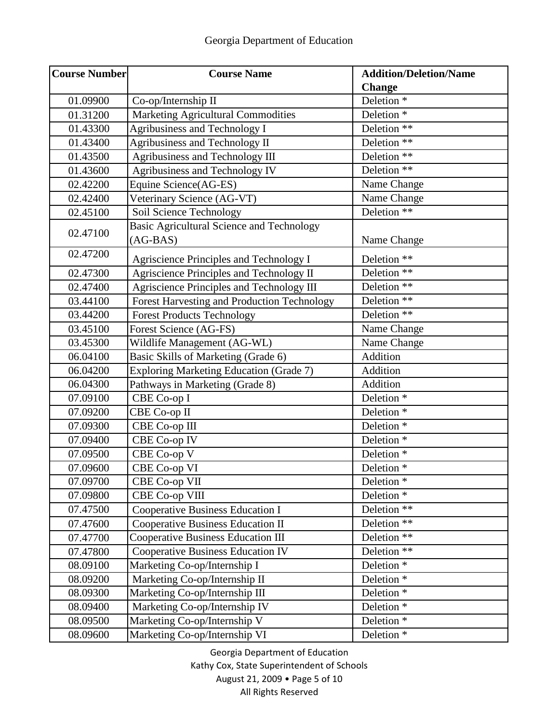| <b>Course Number</b> | <b>Course Name</b>                               | <b>Addition/Deletion/Name</b> |
|----------------------|--------------------------------------------------|-------------------------------|
|                      |                                                  | <b>Change</b>                 |
| 01.09900             | Co-op/Internship II                              | Deletion <sup>*</sup>         |
| 01.31200             | <b>Marketing Agricultural Commodities</b>        | Deletion <sup>*</sup>         |
| 01.43300             | Agribusiness and Technology I                    | Deletion **                   |
| 01.43400             | Agribusiness and Technology II                   | Deletion **                   |
| 01.43500             | Agribusiness and Technology III                  | Deletion **                   |
| 01.43600             | Agribusiness and Technology IV                   | Deletion **                   |
| 02.42200             | Equine Science(AG-ES)                            | Name Change                   |
| 02.42400             | Veterinary Science (AG-VT)                       | Name Change                   |
| 02.45100             | Soil Science Technology                          | Deletion **                   |
| 02.47100             | <b>Basic Agricultural Science and Technology</b> |                               |
|                      | $(AG-BAS)$                                       | Name Change                   |
| 02.47200             | Agriscience Principles and Technology I          | Deletion **                   |
| 02.47300             | Agriscience Principles and Technology II         | Deletion **                   |
| 02.47400             | Agriscience Principles and Technology III        | Deletion **                   |
| 03.44100             | Forest Harvesting and Production Technology      | Deletion **                   |
| 03.44200             | <b>Forest Products Technology</b>                | Deletion **                   |
| 03.45100             | Forest Science (AG-FS)                           | Name Change                   |
| 03.45300             | Wildlife Management (AG-WL)                      | Name Change                   |
| 06.04100             | Basic Skills of Marketing (Grade 6)              | Addition                      |
| 06.04200             | <b>Exploring Marketing Education (Grade 7)</b>   | Addition                      |
| 06.04300             | Pathways in Marketing (Grade 8)                  | Addition                      |
| 07.09100             | CBE Co-op I                                      | Deletion <sup>*</sup>         |
| 07.09200             | CBE Co-op II                                     | Deletion <sup>*</sup>         |
| 07.09300             | CBE Co-op III                                    | Deletion <sup>*</sup>         |
| 07.09400             | CBE Co-op IV                                     | Deletion <sup>*</sup>         |
| 07.09500             | CBE Co-op V                                      | Deletion <sup>*</sup>         |
| 07.09600             | CBE Co-op VI                                     | Deletion <sup>*</sup>         |
| 07.09700             | CBE Co-op VII                                    | Deletion <sup>*</sup>         |
| 07.09800             | <b>CBE Co-op VIII</b>                            | Deletion <sup>*</sup>         |
| 07.47500             | Cooperative Business Education I                 | Deletion **                   |
| 07.47600             | Cooperative Business Education II                | Deletion **                   |
| 07.47700             | <b>Cooperative Business Education III</b>        | Deletion **                   |
| 07.47800             | <b>Cooperative Business Education IV</b>         | Deletion **                   |
| 08.09100             | Marketing Co-op/Internship I                     | Deletion <sup>*</sup>         |
| 08.09200             | Marketing Co-op/Internship II                    | Deletion <sup>*</sup>         |
| 08.09300             | Marketing Co-op/Internship III                   | Deletion <sup>*</sup>         |
| 08.09400             | Marketing Co-op/Internship IV                    | Deletion <sup>*</sup>         |
| 08.09500             | Marketing Co-op/Internship V                     | Deletion <sup>*</sup>         |
| 08.09600             | Marketing Co-op/Internship VI                    | Deletion <sup>*</sup>         |

Georgia Department of Education Kathy Cox, State Superintendent of Schools August 21, 2009 • Page 5 of 10 All Rights Reserved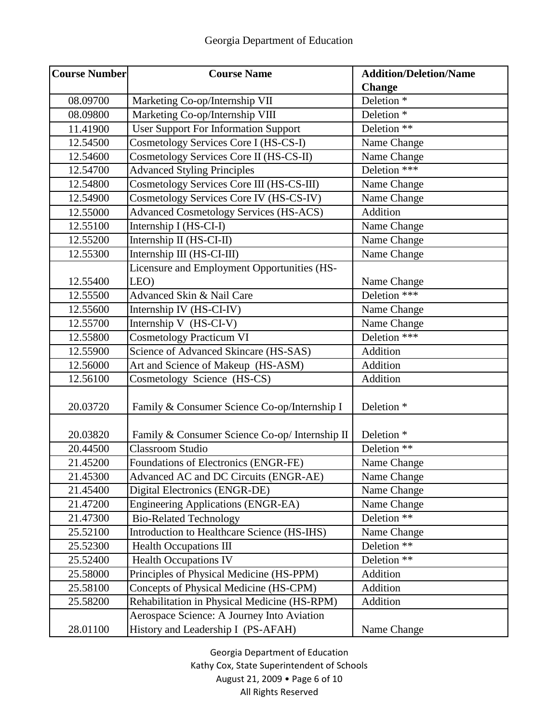| <b>Course Number</b> | <b>Course Name</b>                             | <b>Addition/Deletion/Name</b> |
|----------------------|------------------------------------------------|-------------------------------|
|                      |                                                | <b>Change</b>                 |
| 08.09700             | Marketing Co-op/Internship VII                 | Deletion <sup>*</sup>         |
| 08.09800             | Marketing Co-op/Internship VIII                | Deletion <sup>*</sup>         |
| 11.41900             | <b>User Support For Information Support</b>    | Deletion **                   |
| 12.54500             | Cosmetology Services Core I (HS-CS-I)          | Name Change                   |
| 12.54600             | Cosmetology Services Core II (HS-CS-II)        | Name Change                   |
| 12.54700             | <b>Advanced Styling Principles</b>             | Deletion ***                  |
| 12.54800             | Cosmetology Services Core III (HS-CS-III)      | Name Change                   |
| 12.54900             | Cosmetology Services Core IV (HS-CS-IV)        | Name Change                   |
| 12.55000             | <b>Advanced Cosmetology Services (HS-ACS)</b>  | Addition                      |
| 12.55100             | Internship I (HS-CI-I)                         | Name Change                   |
| 12.55200             | Internship II (HS-CI-II)                       | Name Change                   |
| 12.55300             | Internship III (HS-CI-III)                     | Name Change                   |
|                      | Licensure and Employment Opportunities (HS-    |                               |
| 12.55400             | LEO)                                           | Name Change                   |
| 12.55500             | Advanced Skin & Nail Care                      | Deletion ***                  |
| 12.55600             | Internship IV (HS-CI-IV)                       | Name Change                   |
| 12.55700             | Internship V (HS-CI-V)                         | Name Change                   |
| 12.55800             | <b>Cosmetology Practicum VI</b>                | Deletion ***                  |
| 12.55900             | Science of Advanced Skincare (HS-SAS)          | Addition                      |
| 12.56000             | Art and Science of Makeup (HS-ASM)             | Addition                      |
| 12.56100             | Cosmetology Science (HS-CS)                    | Addition                      |
| 20.03720             | Family & Consumer Science Co-op/Internship I   | Deletion <sup>*</sup>         |
|                      |                                                |                               |
| 20.03820             | Family & Consumer Science Co-op/ Internship II | Deletion <sup>*</sup>         |
| 20.44500             | <b>Classroom Studio</b>                        | Deletion **                   |
| 21.45200             | Foundations of Electronics (ENGR-FE)           | Name Change                   |
| 21.45300             | Advanced AC and DC Circuits (ENGR-AE)          | Name Change                   |
| 21.45400             | Digital Electronics (ENGR-DE)                  | Name Change                   |
| 21.47200             | Engineering Applications (ENGR-EA)             | Name Change                   |
| 21.47300             | <b>Bio-Related Technology</b>                  | Deletion **                   |
| 25.52100             | Introduction to Healthcare Science (HS-IHS)    | Name Change                   |
| 25.52300             | <b>Health Occupations III</b>                  | Deletion **                   |
| 25.52400             | <b>Health Occupations IV</b>                   | Deletion **                   |
| 25.58000             | Principles of Physical Medicine (HS-PPM)       | Addition                      |
| 25.58100             | Concepts of Physical Medicine (HS-CPM)         | Addition                      |
| 25.58200             | Rehabilitation in Physical Medicine (HS-RPM)   | Addition                      |
|                      | Aerospace Science: A Journey Into Aviation     |                               |
| 28.01100             | History and Leadership I (PS-AFAH)             | Name Change                   |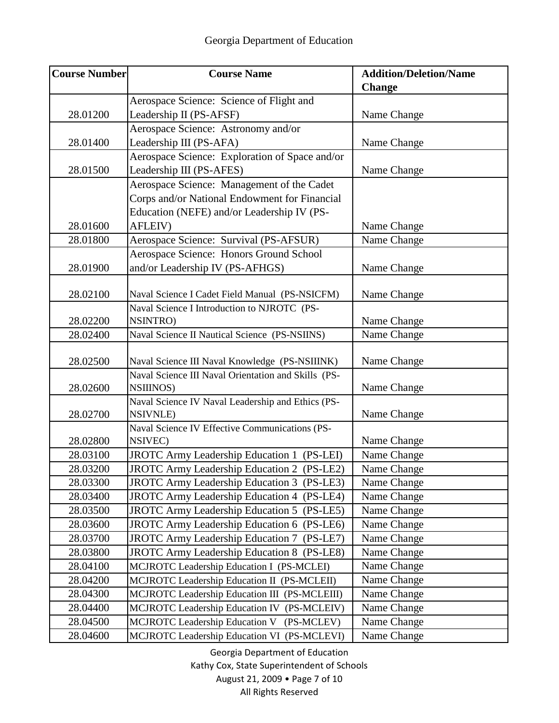| <b>Course Number</b> | <b>Course Name</b>                                  | <b>Addition/Deletion/Name</b> |
|----------------------|-----------------------------------------------------|-------------------------------|
|                      |                                                     | <b>Change</b>                 |
|                      | Aerospace Science: Science of Flight and            |                               |
| 28.01200             | Leadership II (PS-AFSF)                             | Name Change                   |
|                      | Aerospace Science: Astronomy and/or                 |                               |
| 28.01400             | Leadership III (PS-AFA)                             | Name Change                   |
|                      | Aerospace Science: Exploration of Space and/or      |                               |
| 28.01500             | Leadership III (PS-AFES)                            | Name Change                   |
|                      | Aerospace Science: Management of the Cadet          |                               |
|                      | Corps and/or National Endowment for Financial       |                               |
|                      | Education (NEFE) and/or Leadership IV (PS-          |                               |
| 28.01600             | AFLEIV)                                             | Name Change                   |
| 28.01800             | Aerospace Science: Survival (PS-AFSUR)              | Name Change                   |
|                      | Aerospace Science: Honors Ground School             |                               |
| 28.01900             | and/or Leadership IV (PS-AFHGS)                     | Name Change                   |
|                      |                                                     |                               |
| 28.02100             | Naval Science I Cadet Field Manual (PS-NSICFM)      | Name Change                   |
|                      | Naval Science I Introduction to NJROTC (PS-         |                               |
| 28.02200             | NSINTRO)                                            | Name Change                   |
| 28.02400             | Naval Science II Nautical Science (PS-NSIINS)       | Name Change                   |
| 28.02500             | Naval Science III Naval Knowledge (PS-NSIIINK)      | Name Change                   |
|                      | Naval Science III Naval Orientation and Skills (PS- |                               |
| 28.02600             | <b>NSIIINOS</b> )                                   | Name Change                   |
|                      | Naval Science IV Naval Leadership and Ethics (PS-   |                               |
| 28.02700             | <b>NSIVNLE</b> )                                    | Name Change                   |
|                      | Naval Science IV Effective Communications (PS-      |                               |
| 28.02800             | NSIVEC)                                             | Name Change                   |
| 28.03100             | <b>JROTC Army Leadership Education 1 (PS-LEI)</b>   | Name Change                   |
| 28.03200             | JROTC Army Leadership Education 2 (PS-LE2)          | Name Change                   |
| 28.03300             | JROTC Army Leadership Education 3 (PS-LE3)          | Name Change                   |
| 28.03400             | JROTC Army Leadership Education 4 (PS-LE4)          | Name Change                   |
| 28.03500             | JROTC Army Leadership Education 5 (PS-LE5)          | Name Change                   |
| 28.03600             | JROTC Army Leadership Education 6 (PS-LE6)          | Name Change                   |
| 28.03700             | JROTC Army Leadership Education 7 (PS-LE7)          | Name Change                   |
| 28.03800             | JROTC Army Leadership Education 8 (PS-LE8)          | Name Change                   |
| 28.04100             | MCJROTC Leadership Education I (PS-MCLEI)           | Name Change                   |
| 28.04200             | MCJROTC Leadership Education II (PS-MCLEII)         | Name Change                   |
| 28.04300             | MCJROTC Leadership Education III (PS-MCLEIII)       | Name Change                   |
| 28.04400             | MCJROTC Leadership Education IV (PS-MCLEIV)         | Name Change                   |
| 28.04500             | MCJROTC Leadership Education V (PS-MCLEV)           | Name Change                   |
| 28.04600             | MCJROTC Leadership Education VI (PS-MCLEVI)         | Name Change                   |

Georgia Department of Education Kathy Cox, State Superintendent of Schools August 21, 2009 • Page 7 of 10 All Rights Reserved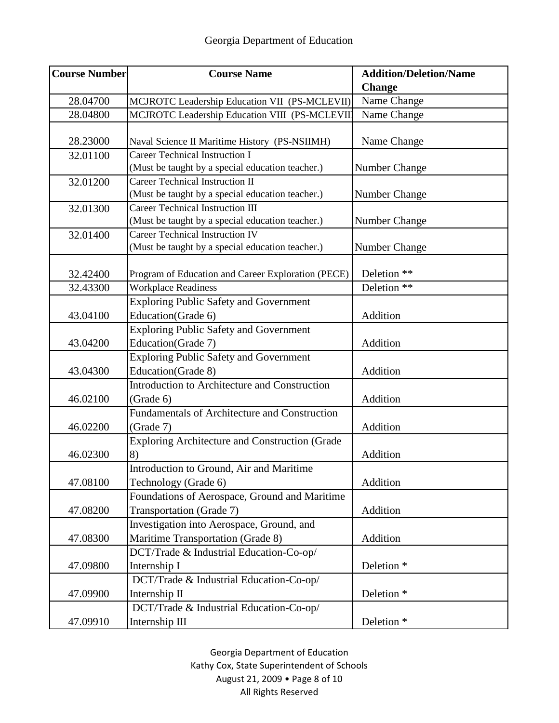| <b>Course Number</b>             | <b>Course Name</b>                                                                                                                    | <b>Addition/Deletion/Name</b>                                           |
|----------------------------------|---------------------------------------------------------------------------------------------------------------------------------------|-------------------------------------------------------------------------|
|                                  |                                                                                                                                       | <b>Change</b>                                                           |
| 28.04700                         | MCJROTC Leadership Education VII (PS-MCLEVII)                                                                                         | Name Change                                                             |
| 28.04800                         | MCJROTC Leadership Education VIII (PS-MCLEVII)                                                                                        | Name Change                                                             |
| 28.23000                         | Naval Science II Maritime History (PS-NSIIMH)                                                                                         | Name Change                                                             |
| 32.01100                         | <b>Career Technical Instruction I</b>                                                                                                 |                                                                         |
|                                  | (Must be taught by a special education teacher.)                                                                                      | Number Change                                                           |
| 32.01200                         | <b>Career Technical Instruction II</b>                                                                                                |                                                                         |
|                                  | (Must be taught by a special education teacher.)                                                                                      | Number Change                                                           |
| 32.01300                         | <b>Career Technical Instruction III</b>                                                                                               |                                                                         |
|                                  | (Must be taught by a special education teacher.)                                                                                      | Number Change                                                           |
| 32.01400                         | <b>Career Technical Instruction IV</b>                                                                                                |                                                                         |
|                                  | (Must be taught by a special education teacher.)                                                                                      | Number Change                                                           |
| 32.42400                         | Program of Education and Career Exploration (PECE)                                                                                    | Deletion **                                                             |
| 32.43300                         | <b>Workplace Readiness</b>                                                                                                            | Deletion **                                                             |
|                                  |                                                                                                                                       |                                                                         |
| 43.04100                         | <b>Exploring Public Safety and Government</b><br>Education(Grade 6)                                                                   | Addition                                                                |
|                                  |                                                                                                                                       |                                                                         |
|                                  | <b>Exploring Public Safety and Government</b>                                                                                         |                                                                         |
| 43.04200                         | Education(Grade 7)                                                                                                                    | Addition                                                                |
|                                  | <b>Exploring Public Safety and Government</b>                                                                                         | Addition                                                                |
| 43.04300                         | Education(Grade 8)<br>Introduction to Architecture and Construction                                                                   |                                                                         |
| 46.02100                         |                                                                                                                                       | Addition                                                                |
|                                  | (Grade 6)<br><b>Fundamentals of Architecture and Construction</b>                                                                     |                                                                         |
| 46.02200                         | (Grade 7)                                                                                                                             | Addition                                                                |
|                                  | Exploring Architecture and Construction (Grade                                                                                        |                                                                         |
| 46.02300                         | 8)                                                                                                                                    | Addition                                                                |
|                                  | Introduction to Ground, Air and Maritime                                                                                              |                                                                         |
| 47.08100                         | Technology (Grade 6)                                                                                                                  | Addition                                                                |
|                                  | Foundations of Aerospace, Ground and Maritime                                                                                         |                                                                         |
| 47.08200                         | Transportation (Grade 7)                                                                                                              | Addition                                                                |
|                                  | Investigation into Aerospace, Ground, and                                                                                             |                                                                         |
| 47.08300                         | Maritime Transportation (Grade 8)                                                                                                     | Addition                                                                |
|                                  | DCT/Trade & Industrial Education-Co-op/                                                                                               |                                                                         |
|                                  |                                                                                                                                       |                                                                         |
|                                  |                                                                                                                                       |                                                                         |
|                                  |                                                                                                                                       |                                                                         |
|                                  |                                                                                                                                       |                                                                         |
|                                  |                                                                                                                                       |                                                                         |
| 47.09800<br>47.09900<br>47.09910 | Internship I<br>DCT/Trade & Industrial Education-Co-op/<br>Internship II<br>DCT/Trade & Industrial Education-Co-op/<br>Internship III | Deletion <sup>*</sup><br>Deletion <sup>*</sup><br>Deletion <sup>*</sup> |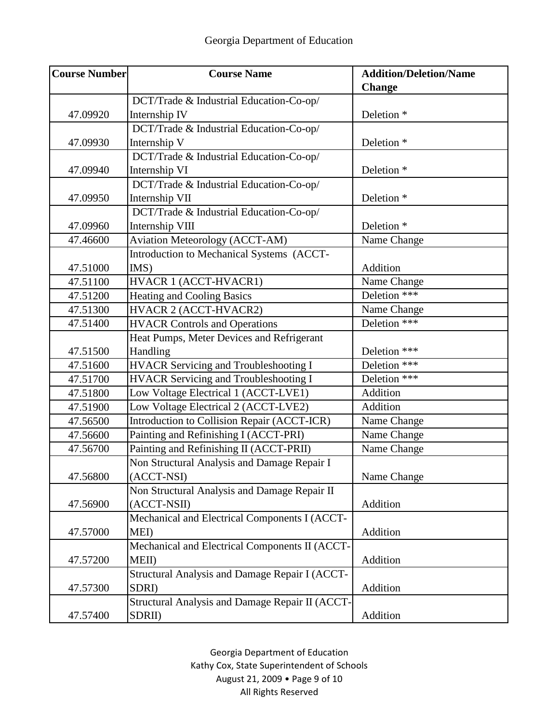| <b>Course Number</b> | <b>Course Name</b>                              | <b>Addition/Deletion/Name</b> |
|----------------------|-------------------------------------------------|-------------------------------|
|                      |                                                 | <b>Change</b>                 |
|                      | DCT/Trade & Industrial Education-Co-op/         |                               |
| 47.09920             | Internship IV                                   | Deletion <sup>*</sup>         |
|                      | DCT/Trade & Industrial Education-Co-op/         |                               |
| 47.09930             | Internship V                                    | Deletion <sup>*</sup>         |
|                      | DCT/Trade & Industrial Education-Co-op/         |                               |
| 47.09940             | Internship VI                                   | Deletion <sup>*</sup>         |
|                      | DCT/Trade & Industrial Education-Co-op/         |                               |
| 47.09950             | Internship VII                                  | Deletion <sup>*</sup>         |
|                      | DCT/Trade & Industrial Education-Co-op/         |                               |
| 47.09960             | Internship VIII                                 | Deletion <sup>*</sup>         |
| 47.46600             | <b>Aviation Meteorology (ACCT-AM)</b>           | Name Change                   |
|                      | Introduction to Mechanical Systems (ACCT-       |                               |
| 47.51000             | IMS)                                            | Addition                      |
| 47.51100             | HVACR 1 (ACCT-HVACR1)                           | Name Change                   |
| 47.51200             | <b>Heating and Cooling Basics</b>               | Deletion ***                  |
| 47.51300             | HVACR 2 (ACCT-HVACR2)                           | Name Change                   |
| 47.51400             | <b>HVACR Controls and Operations</b>            | Deletion ***                  |
|                      | Heat Pumps, Meter Devices and Refrigerant       |                               |
| 47.51500             | Handling                                        | Deletion ***                  |
| 47.51600             | <b>HVACR Servicing and Troubleshooting I</b>    | Deletion ***                  |
| 47.51700             | <b>HVACR</b> Servicing and Troubleshooting I    | Deletion ***                  |
| 47.51800             | Low Voltage Electrical 1 (ACCT-LVE1)            | Addition                      |
| 47.51900             | Low Voltage Electrical 2 (ACCT-LVE2)            | Addition                      |
| 47.56500             | Introduction to Collision Repair (ACCT-ICR)     | Name Change                   |
| 47.56600             | Painting and Refinishing I (ACCT-PRI)           | Name Change                   |
| 47.56700             | Painting and Refinishing II (ACCT-PRII)         | Name Change                   |
|                      | Non Structural Analysis and Damage Repair I     |                               |
| 47.56800             | (ACCT-NSI)                                      | Name Change                   |
|                      | Non Structural Analysis and Damage Repair II    |                               |
| 47.56900             | (ACCT-NSII)                                     | Addition                      |
|                      | Mechanical and Electrical Components I (ACCT-   |                               |
| 47.57000             | MEI)                                            | Addition                      |
|                      | Mechanical and Electrical Components II (ACCT-  |                               |
| 47.57200             | MEII)                                           | Addition                      |
|                      | Structural Analysis and Damage Repair I (ACCT-  |                               |
| 47.57300             | SDRI)                                           | Addition                      |
|                      | Structural Analysis and Damage Repair II (ACCT- |                               |
| 47.57400             | SDRII)                                          | Addition                      |